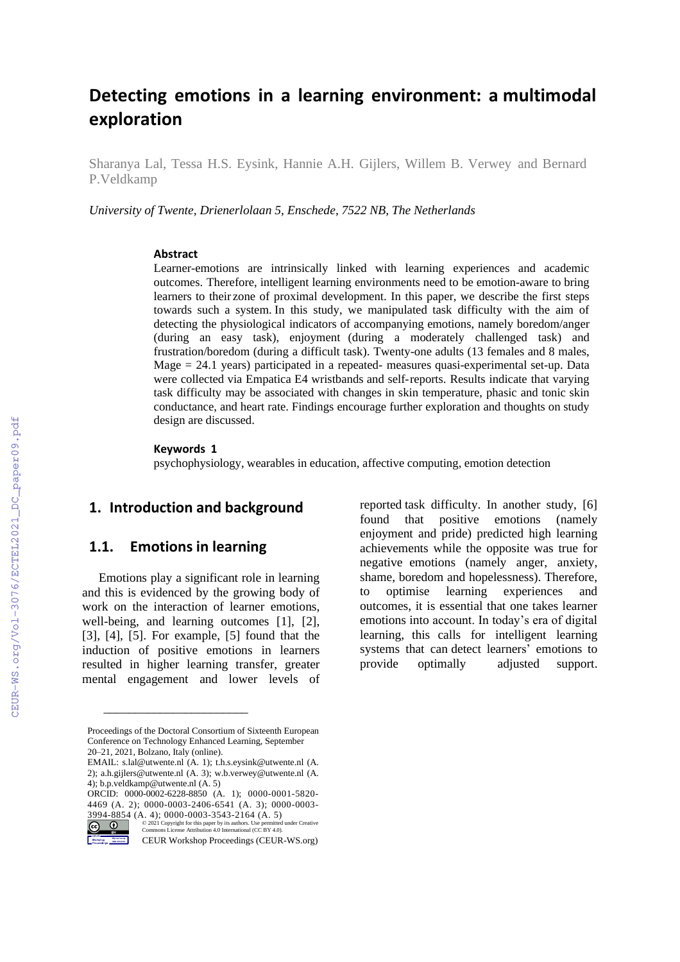# **Detecting emotions in a learning environment: a multimodal exploration**

Sharanya Lal, Tessa H.S. Eysink, Hannie A.H. Gijlers, Willem B. Verwey and Bernard P.Veldkamp

*University of Twente, Drienerlolaan 5, Enschede, 7522 NB, The Netherlands*

#### **Abstract**

Learner-emotions are intrinsically linked with learning experiences and academic outcomes. Therefore, intelligent learning environments need to be emotion-aware to bring learners to their zone of proximal development. In this paper, we describe the first steps towards such a system. In this study, we manipulated task difficulty with the aim of detecting the physiological indicators of accompanying emotions, namely boredom/anger (during an easy task), enjoyment (during a moderately challenged task) and frustration/boredom (during a difficult task). Twenty-one adults (13 females and 8 males, Mage = 24.1 years) participated in a repeated- measures quasi-experimental set-up. Data were collected via Empatica E4 wristbands and self-reports. Results indicate that varying task difficulty may be associated with changes in skin temperature, phasic and tonic skin conductance, and heart rate. Findings encourage further exploration and thoughts on study design are discussed.

#### **Keywords 1**

psychophysiology, wearables in education, affective computing, emotion detection

#### **1. Introduction and background**

#### **1.1. Emotions in learning**

Emotions play a significant role in learning and this is evidenced by the growing body of work on the interaction of learner emotions, well-being, and learning outcomes [1], [2], [3], [4], [5]. For example, [5] found that the induction of positive emotions in learners resulted in higher learning transfer, greater mental engagement and lower levels of

\_\_\_\_\_\_\_\_\_\_\_\_\_\_\_\_\_\_\_\_\_\_\_

reported task difficulty. In another study, [6] found that positive emotions (namely enjoyment and pride) predicted high learning achievements while the opposite was true for negative emotions (namely anger, anxiety, shame, boredom and hopelessness). Therefore, to optimise learning experiences and outcomes, it is essential that one takes learner emotions into account. In today's era of digital learning, this calls for intelligent learning systems that can detect learners' emotions to provide optimally adjusted support.

Proceedings of the Doctoral Consortium of Sixteenth European Conference on Technology Enhanced Learning, September 20–21, 2021, Bolzano, Italy (online).

EMAIL: [s.lal@utwente.nl \(](mailto:s.lal@utwente.nl)A. 1); t.h.s.eysink@utwente.nl (A. 2); [a.h.gijlers@utwente.nl](mailto:a.h.gijlers@utwente.nl) (A. 3)[; w.b.verwey@utwente.nl](mailto:w.b.verwey@utwente.nl) (A. 4)[; b.p.veldkamp@utwente.nl](mailto:b.p.veldkamp@utwente.nl) (A. 5)

ORCID: 0000-0002-6228-8850 (A. 1); 0000-0001-5820- 4469 (A. 2); 0000-0003-2406-6541 (A. 3); 0000-0003-

<sup>3994-8854 (</sup>A. 4); 0000-0003-3543-2164 (A. 5)<br>  $\bigodot_{\text{W}}$  (2021 Copyright for this paper by its authors. Use permitted under Creative<br>
Commons License Attribution 4.0 International (CC BY 4.0). ©️ 2021 Copyright for this paper by its authors. Use permitted under Creative Commons License Attribution 4.0 International (CC BY 4.0).

CEUR Workshop Proceedings (CEUR-WS.org)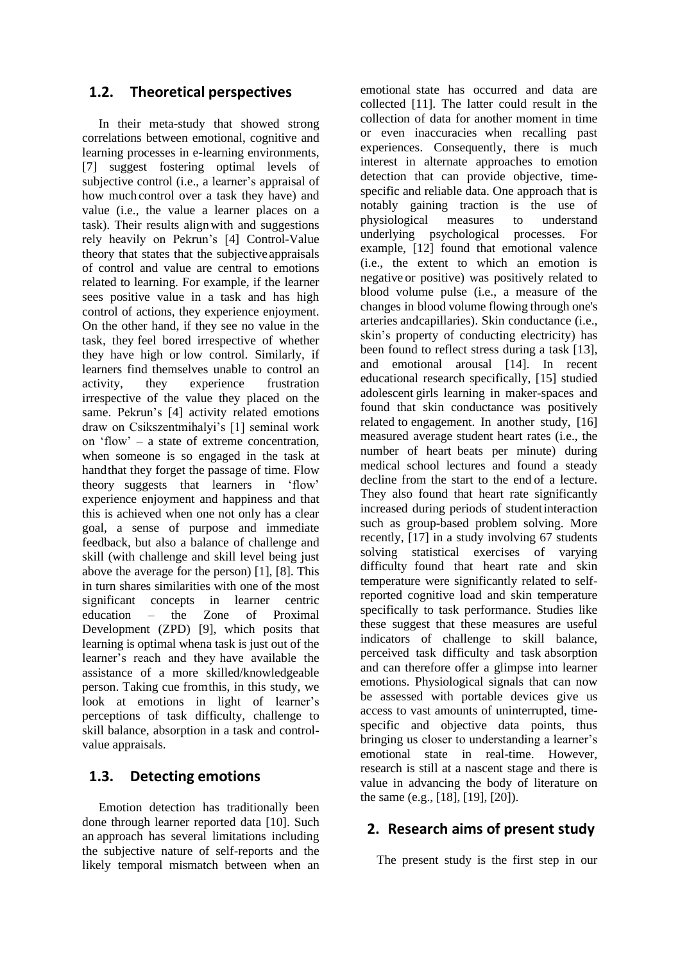#### **1.2. Theoretical perspectives**

In their meta-study that showed strong correlations between emotional, cognitive and learning processes in e-learning environments, [7] suggest fostering optimal levels of subjective control (i.e., a learner's appraisal of how much control over a task they have) and value (i.e., the value a learner places on a task). Their results alignwith and suggestions rely heavily on Pekrun's [4] Control-Value theory that states that the subjective appraisals of control and value are central to emotions related to learning. For example, if the learner sees positive value in a task and has high control of actions, they experience enjoyment. On the other hand, if they see no value in the task, they feel bored irrespective of whether they have high or low control. Similarly, if learners find themselves unable to control an activity, they experience frustration irrespective of the value they placed on the same. Pekrun's [4] activity related emotions draw on Csikszentmihalyi's [1] seminal work on 'flow' – a state of extreme concentration, when someone is so engaged in the task at handthat they forget the passage of time. Flow theory suggests that learners in 'flow' experience enjoyment and happiness and that this is achieved when one not only has a clear goal, a sense of purpose and immediate feedback, but also a balance of challenge and skill (with challenge and skill level being just above the average for the person) [1], [8]. This in turn shares similarities with one of the most significant concepts in learner centric education – the Zone of Proximal Development (ZPD) [9], which posits that learning is optimal whena task is just out of the learner's reach and they have available the assistance of a more skilled/knowledgeable person. Taking cue fromthis, in this study, we look at emotions in light of learner's perceptions of task difficulty, challenge to skill balance, absorption in a task and controlvalue appraisals.

#### **1.3. Detecting emotions**

Emotion detection has traditionally been done through learner reported data [10]. Such an approach has several limitations including the subjective nature of self-reports and the likely temporal mismatch between when an emotional state has occurred and data are collected [11]. The latter could result in the collection of data for another moment in time or even inaccuracies when recalling past experiences. Consequently, there is much interest in alternate approaches to emotion detection that can provide objective, timespecific and reliable data. One approach that is notably gaining traction is the use of physiological measures to understand underlying psychological processes. For example, [12] found that emotional valence (i.e., the extent to which an emotion is negative or positive) was positively related to blood volume pulse (i.e., a measure of the changes in blood volume flowing through one's arteries andcapillaries). Skin conductance (i.e., skin's property of conducting electricity) has been found to reflect stress during a task [13], and emotional arousal [14]. In recent educational research specifically, [15] studied adolescent girls learning in maker-spaces and found that skin conductance was positively related to engagement. In another study, [16] measured average student heart rates (i.e., the number of heart beats per minute) during medical school lectures and found a steady decline from the start to the end of a lecture. They also found that heart rate significantly increased during periods of studentinteraction such as group-based problem solving. More recently, [17] in a study involving 67 students solving statistical exercises of varying difficulty found that heart rate and skin temperature were significantly related to selfreported cognitive load and skin temperature specifically to task performance. Studies like these suggest that these measures are useful indicators of challenge to skill balance, perceived task difficulty and task absorption and can therefore offer a glimpse into learner emotions. Physiological signals that can now be assessed with portable devices give us access to vast amounts of uninterrupted, timespecific and objective data points, thus bringing us closer to understanding a learner's emotional state in real-time. However, research is still at a nascent stage and there is value in advancing the body of literature on the same (e.g., [18], [19], [20]).

### **2. Research aims of present study**

The present study is the first step in our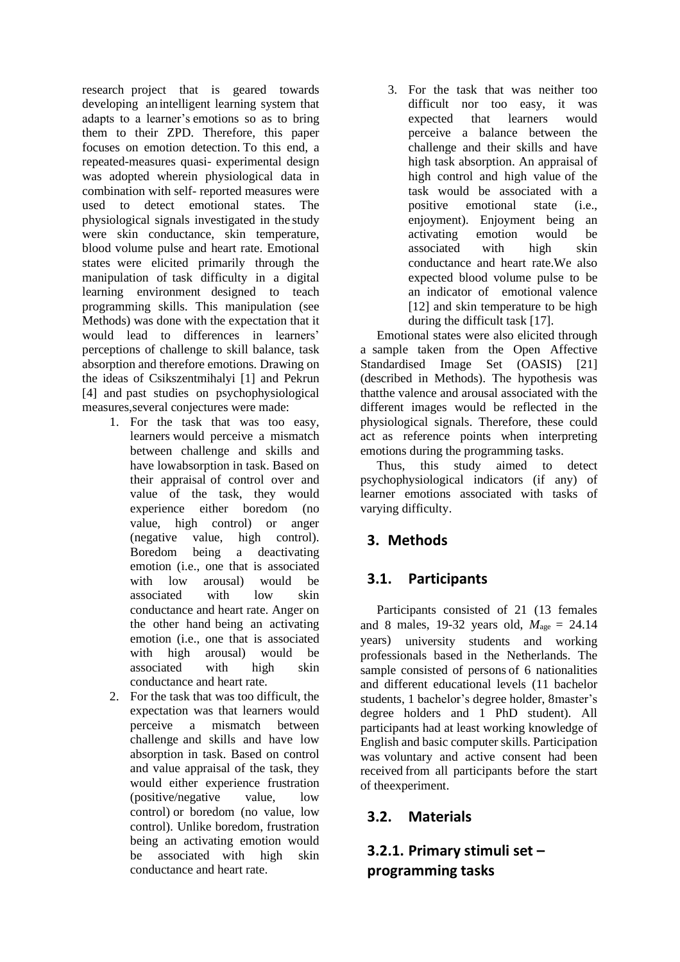research project that is geared towards developing an intelligent learning system that adapts to a learner's emotions so as to bring them to their ZPD. Therefore, this paper focuses on emotion detection. To this end, a repeated-measures quasi- experimental design was adopted wherein physiological data in combination with self- reported measures were used to detect emotional states. The physiological signals investigated in the study were skin conductance, skin temperature, blood volume pulse and heart rate. Emotional states were elicited primarily through the manipulation of task difficulty in a digital learning environment designed to teach programming skills. This manipulation (see Methods) was done with the expectation that it would lead to differences in learners' perceptions of challenge to skill balance, task absorption and therefore emotions. Drawing on the ideas of Csikszentmihalyi [1] and Pekrun [4] and past studies on psychophysiological measures,several conjectures were made:

- 1. For the task that was too easy, learners would perceive a mismatch between challenge and skills and have lowabsorption in task. Based on their appraisal of control over and value of the task, they would experience either boredom (no value, high control) or anger (negative value, high control). Boredom being a deactivating emotion (i.e., one that is associated with low arousal) would be associated with low skin conductance and heart rate. Anger on the other hand being an activating emotion (i.e., one that is associated with high arousal) would be associated with high skin conductance and heart rate.
- 2. For the task that was too difficult, the expectation was that learners would perceive a mismatch between challenge and skills and have low absorption in task. Based on control and value appraisal of the task, they would either experience frustration (positive/negative value, low control) or boredom (no value, low control). Unlike boredom, frustration being an activating emotion would be associated with high skin conductance and heart rate.

3. For the task that was neither too difficult nor too easy, it was expected that learners would perceive a balance between the challenge and their skills and have high task absorption. An appraisal of high control and high value of the task would be associated with a positive emotional state (i.e., enjoyment). Enjoyment being an activating emotion would be associated with high skin conductance and heart rate.We also expected blood volume pulse to be an indicator of emotional valence [12] and skin temperature to be high during the difficult task [17].

Emotional states were also elicited through a sample taken from the Open Affective Standardised Image Set (OASIS) [21] (described in Methods). The hypothesis was thatthe valence and arousal associated with the different images would be reflected in the physiological signals. Therefore, these could act as reference points when interpreting emotions during the programming tasks.

Thus, this study aimed to detect psychophysiological indicators (if any) of learner emotions associated with tasks of varying difficulty.

## **3. Methods**

### **3.1. Participants**

Participants consisted of 21 (13 females and 8 males, 19-32 years old,  $M_{\text{age}} = 24.14$ years) university students and working professionals based in the Netherlands. The sample consisted of persons of 6 nationalities and different educational levels (11 bachelor students, 1 bachelor's degree holder, 8master's degree holders and 1 PhD student). All participants had at least working knowledge of English and basic computer skills. Participation was voluntary and active consent had been received from all participants before the start of theexperiment.

#### **3.2. Materials**

## **3.2.1. Primary stimuli set – programming tasks**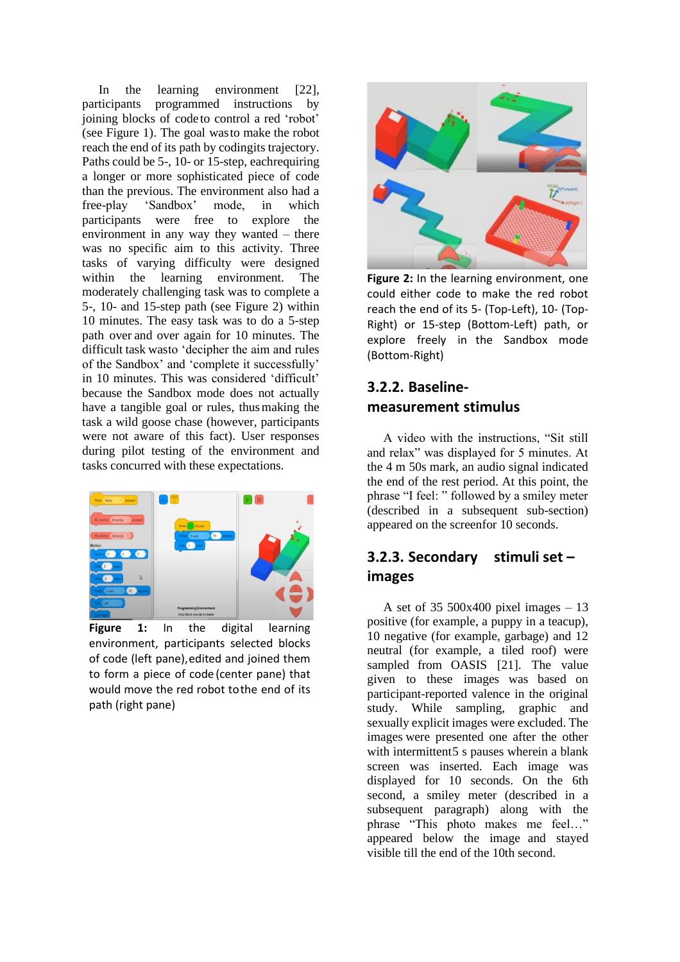In the learning environment [22], participants programmed instructions by joining blocks of code to control a red 'robot' (see Figure 1). The goal wasto make the robot reach the end of its path by codingits trajectory. Paths could be 5-, 10- or 15-step, eachrequiring a longer or more sophisticated piece of code than the previous. The environment also had a free-play 'Sandbox' mode, in which participants were free to explore the environment in any way they wanted – there was no specific aim to this activity. Three tasks of varying difficulty were designed within the learning environment. The moderately challenging task was to complete a 5-, 10- and 15-step path (see Figure 2) within 10 minutes. The easy task was to do a 5-step path over and over again for 10 minutes. The difficult task wasto 'decipher the aim and rules of the Sandbox' and 'complete it successfully' in 10 minutes. This was considered 'difficult' because the Sandbox mode does not actually have a tangible goal or rules, thusmaking the task a wild goose chase (however, participants were not aware of this fact). User responses during pilot testing of the environment and tasks concurred with these expectations.



**Figure 1:** In the digital learning environment, participants selected blocks of code (left pane),edited and joined them to form a piece of code (center pane) that would move the red robot tothe end of its path (right pane)



**Figure 2:** In the learning environment, one could either code to make the red robot reach the end of its 5- (Top-Left), 10- (Top-Right) or 15-step (Bottom-Left) path, or explore freely in the Sandbox mode (Bottom-Right)

#### **3.2.2. Baselinemeasurement stimulus**

A video with the instructions, "Sit still and relax" was displayed for 5 minutes. At the 4 m 50s mark, an audio signal indicated the end of the rest period. At this point, the phrase "I feel: " followed by a smiley meter (described in a subsequent sub-section) appeared on the screenfor 10 seconds.

#### **3.2.3. Secondary stimuli set – images**

A set of 35 500x400 pixel images – 13 positive (for example, a puppy in a teacup), 10 negative (for example, garbage) and 12 neutral (for example, a tiled roof) were sampled from OASIS [21]. The value given to these images was based on participant-reported valence in the original study. While sampling, graphic and sexually explicit images were excluded. The images were presented one after the other with intermittent5 s pauses wherein a blank screen was inserted. Each image was displayed for 10 seconds. On the 6th second, a smiley meter (described in a subsequent paragraph) along with the phrase "This photo makes me feel…" appeared below the image and stayed visible till the end of the 10th second.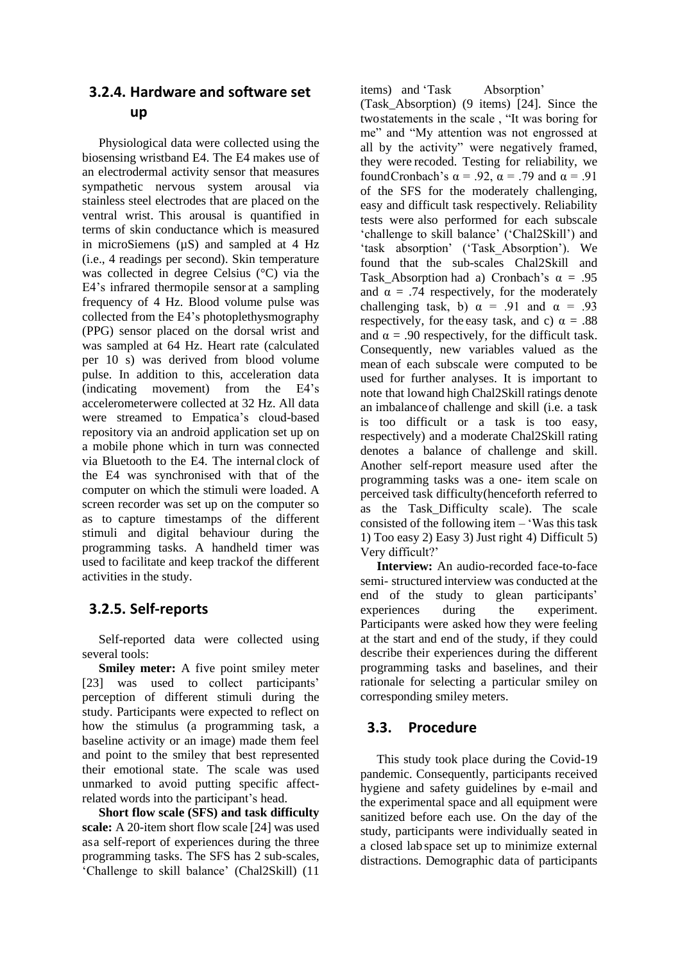#### **3.2.4. Hardware and software set up**

Physiological data were collected using the biosensing wristband E4. The E4 makes use of an electrodermal activity sensor that measures sympathetic nervous system arousal via stainless steel electrodes that are placed on the ventral wrist. This arousal is quantified in terms of skin conductance which is measured in microSiemens (µS) and sampled at 4 Hz (i.e., 4 readings per second). Skin temperature was collected in degree Celsius (°C) via the E4's infrared thermopile sensor at a sampling frequency of 4 Hz. Blood volume pulse was collected from the E4's photoplethysmography (PPG) sensor placed on the dorsal wrist and was sampled at 64 Hz. Heart rate (calculated per 10 s) was derived from blood volume pulse. In addition to this, acceleration data (indicating movement) from the E4's accelerometerwere collected at 32 Hz. All data were streamed to Empatica's cloud-based repository via an android application set up on a mobile phone which in turn was connected via Bluetooth to the E4. The internal clock of the E4 was synchronised with that of the computer on which the stimuli were loaded. A screen recorder was set up on the computer so as to capture timestamps of the different stimuli and digital behaviour during the programming tasks. A handheld timer was used to facilitate and keep trackof the different activities in the study.

### **3.2.5. Self-reports**

Self-reported data were collected using several tools:

**Smiley meter:** A five point smiley meter [23] was used to collect participants' perception of different stimuli during the study. Participants were expected to reflect on how the stimulus (a programming task, a baseline activity or an image) made them feel and point to the smiley that best represented their emotional state. The scale was used unmarked to avoid putting specific affectrelated words into the participant's head.

**Short flow scale (SFS) and task difficulty scale:** A 20-item short flow scale [24] was used asa self-report of experiences during the three programming tasks. The SFS has 2 sub-scales, 'Challenge to skill balance' (Chal2Skill) (11

items) and 'Task Absorption' (Task\_Absorption) (9 items) [24]. Since the twostatements in the scale , "It was boring for me" and "My attention was not engrossed at all by the activity" were negatively framed, they were recoded. Testing for reliability, we foundCronbach's  $\alpha = .92$ ,  $\alpha = .79$  and  $\alpha = .91$ of the SFS for the moderately challenging, easy and difficult task respectively. Reliability tests were also performed for each subscale 'challenge to skill balance' ('Chal2Skill') and 'task absorption' ('Task\_Absorption'). We found that the sub-scales Chal2Skill and Task Absorption had a) Cronbach's  $\alpha = .95$ and  $\alpha = .74$  respectively, for the moderately challenging task, b)  $\alpha = .91$  and  $\alpha = .93$ respectively, for the easy task, and c)  $\alpha = .88$ and  $\alpha = .90$  respectively, for the difficult task. Consequently, new variables valued as the mean of each subscale were computed to be used for further analyses. It is important to note that lowand high Chal2Skill ratings denote an imbalanceof challenge and skill (i.e. a task is too difficult or a task is too easy, respectively) and a moderate Chal2Skill rating denotes a balance of challenge and skill. Another self-report measure used after the programming tasks was a one- item scale on perceived task difficulty(henceforth referred to as the Task\_Difficulty scale). The scale consisted of the following item – 'Was this task 1) Too easy 2) Easy 3) Just right 4) Difficult 5) Very difficult?'

**Interview:** An audio-recorded face-to-face semi- structured interview was conducted at the end of the study to glean participants' experiences during the experiment. Participants were asked how they were feeling at the start and end of the study, if they could describe their experiences during the different programming tasks and baselines, and their rationale for selecting a particular smiley on corresponding smiley meters.

### **3.3. Procedure**

This study took place during the Covid-19 pandemic. Consequently, participants received hygiene and safety guidelines by e-mail and the experimental space and all equipment were sanitized before each use. On the day of the study, participants were individually seated in a closed lab space set up to minimize external distractions. Demographic data of participants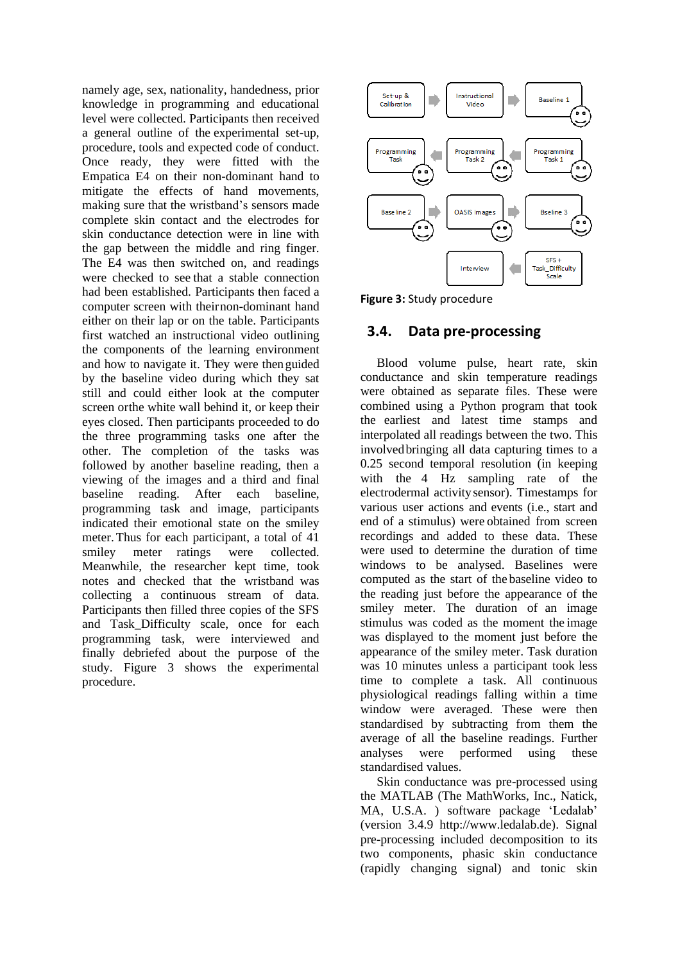namely age, sex, nationality, handedness, prior knowledge in programming and educational level were collected. Participants then received a general outline of the experimental set-up, procedure, tools and expected code of conduct. Once ready, they were fitted with the Empatica E4 on their non-dominant hand to mitigate the effects of hand movements, making sure that the wristband's sensors made complete skin contact and the electrodes for skin conductance detection were in line with the gap between the middle and ring finger. The E4 was then switched on, and readings were checked to see that a stable connection had been established. Participants then faced a computer screen with theirnon-dominant hand either on their lap or on the table. Participants first watched an instructional video outlining the components of the learning environment and how to navigate it. They were thenguided by the baseline video during which they sat still and could either look at the computer screen orthe white wall behind it, or keep their eyes closed. Then participants proceeded to do the three programming tasks one after the other. The completion of the tasks was followed by another baseline reading, then a viewing of the images and a third and final baseline reading. After each baseline, programming task and image, participants indicated their emotional state on the smiley meter. Thus for each participant, a total of 41 smiley meter ratings were collected. Meanwhile, the researcher kept time, took notes and checked that the wristband was collecting a continuous stream of data. Participants then filled three copies of the SFS and Task\_Difficulty scale, once for each programming task, were interviewed and finally debriefed about the purpose of the study. Figure 3 shows the experimental procedure.



**Figure 3:** Study procedure

#### **3.4. Data pre-processing**

Blood volume pulse, heart rate, skin conductance and skin temperature readings were obtained as separate files. These were combined using a Python program that took the earliest and latest time stamps and interpolated all readings between the two. This involvedbringing all data capturing times to a 0.25 second temporal resolution (in keeping with the 4 Hz sampling rate of the electrodermal activitysensor). Timestamps for various user actions and events (i.e., start and end of a stimulus) were obtained from screen recordings and added to these data. These were used to determine the duration of time windows to be analysed. Baselines were computed as the start of the baseline video to the reading just before the appearance of the smiley meter. The duration of an image stimulus was coded as the moment the image was displayed to the moment just before the appearance of the smiley meter. Task duration was 10 minutes unless a participant took less time to complete a task. All continuous physiological readings falling within a time window were averaged. These were then standardised by subtracting from them the average of all the baseline readings. Further analyses were performed using these standardised values.

Skin conductance was pre-processed using the MATLAB (The MathWorks, Inc., Natick, MA, U.S.A. ) software package 'Ledalab' (version 3.4.9 http://www.ledalab.de). Signal pre-processing included decomposition to its two components, phasic skin conductance (rapidly changing signal) and tonic skin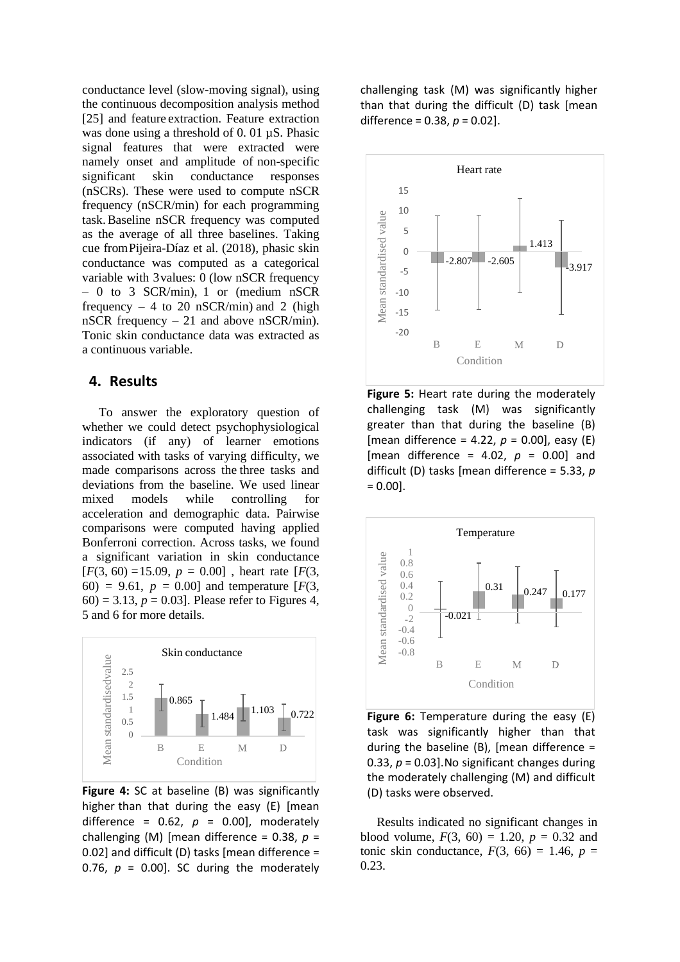conductance level (slow-moving signal), using the continuous decomposition analysis method [25] and feature extraction. Feature extraction was done using a threshold of 0.01  $\mu$ S. Phasic signal features that were extracted were namely onset and amplitude of non-specific significant skin conductance responses (nSCRs). These were used to compute nSCR frequency (nSCR/min) for each programming task.Baseline nSCR frequency was computed as the average of all three baselines. Taking cue fromPijeira-Díaz et al. (2018), phasic skin conductance was computed as a categorical variable with 3values: 0 (low nSCR frequency – 0 to 3 SCR/min), 1 or (medium nSCR frequency  $-4$  to 20 nSCR/min) and 2 (high nSCR frequency – 21 and above nSCR/min). Tonic skin conductance data was extracted as a continuous variable.

#### **4. Results**

To answer the exploratory question of whether we could detect psychophysiological indicators (if any) of learner emotions associated with tasks of varying difficulty, we made comparisons across the three tasks and deviations from the baseline. We used linear mixed models while controlling for acceleration and demographic data. Pairwise comparisons were computed having applied Bonferroni correction. Across tasks, we found a significant variation in skin conductance  $[F(3, 60) = 15.09, p = 0.00]$ , heart rate  $[F(3, 60) = 15.09, p = 0.00]$ 60) = 9.61,  $p = 0.00$  and temperature  $F(3, 1)$  $(60) = 3.13, p = 0.03$ . Please refer to Figures 4, 5 and 6 for more details.



**Figure 4:** SC at baseline (B) was significantly higher than that during the easy (E) [mean difference =  $0.62$ ,  $p = 0.00$ ], moderately challenging (M) [mean difference = 0.38, *p* = 0.02] and difficult (D) tasks [mean difference = 0.76,  $p = 0.00$ ]. SC during the moderately

challenging task (M) was significantly higher than that during the difficult (D) task [mean difference = 0.38, *p* = 0.02].



**Figure 5:** Heart rate during the moderately challenging task (M) was significantly greater than that during the baseline (B) [mean difference = 4.22,  $p = 0.00$ ], easy (E) [mean difference = 4.02, *p* = 0.00] and difficult (D) tasks [mean difference = 5.33, *p*  $= 0.00$ ].



**Figure 6:** Temperature during the easy (E) task was significantly higher than that during the baseline  $(B)$ , [mean difference = 0.33, *p* = 0.03].No significant changes during the moderately challenging (M) and difficult (D) tasks were observed.

Results indicated no significant changes in blood volume,  $F(3, 60) = 1.20$ ,  $p = 0.32$  and tonic skin conductance,  $F(3, 66) = 1.46$ ,  $p =$ 0.23.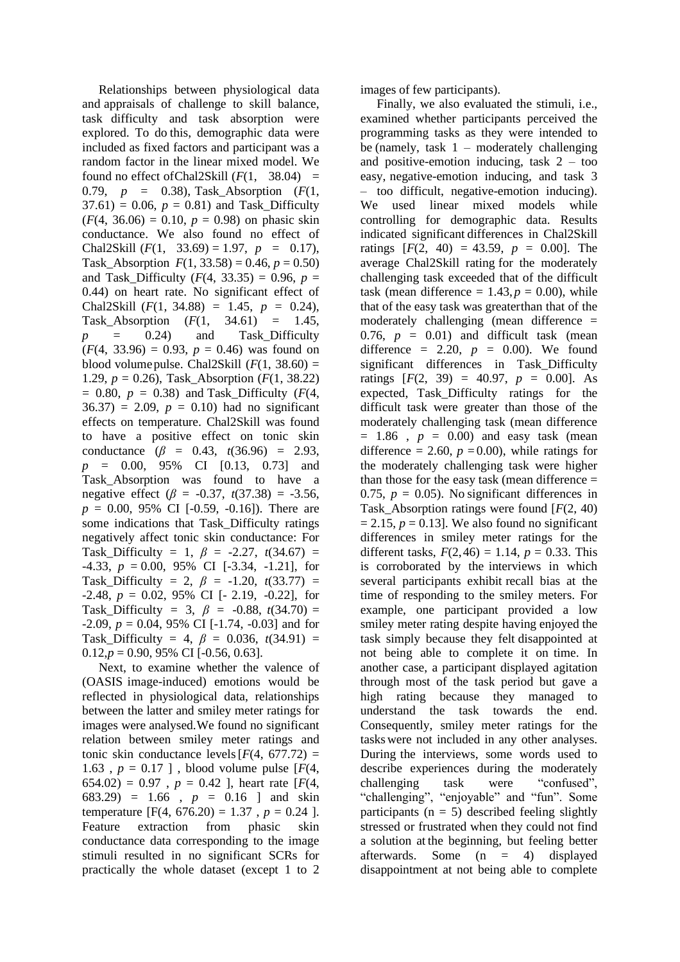Relationships between physiological data and appraisals of challenge to skill balance, task difficulty and task absorption were explored. To do this, demographic data were included as fixed factors and participant was a random factor in the linear mixed model. We found no effect of Chal2Skill  $(F(1, 38.04)$  = 0.79, *p* = 0.38), Task\_Absorption (*F*(1,  $37.61$ ) = 0.06,  $p = 0.81$ ) and Task Difficulty  $(F(4, 36.06) = 0.10, p = 0.98)$  on phasic skin conductance. We also found no effect of Chal2Skill  $(F(1, 33.69) = 1.97, p = 0.17)$ , Task Absorption  $F(1, 33.58) = 0.46$ ,  $p = 0.50$ ) and Task\_Difficulty ( $F(4, 33.35) = 0.96$ ,  $p =$ 0.44) on heart rate. No significant effect of Chal2Skill  $(F(1, 34.88) = 1.45, p = 0.24)$ , Task\_Absorption (*F*(1, 34.61) = 1.45,  $p = 0.24$  and Task\_Difficulty  $(F(4, 33.96) = 0.93, p = 0.46)$  was found on blood volumepulse. Chal2Skill  $(F(1, 38.60) =$ 1.29,  $p = 0.26$ ), Task Absorption (*F*(1, 38.22)  $= 0.80, p = 0.38$ ) and Task\_Difficulty ( $F(4,$  $36.37$ ) = 2.09,  $p = 0.10$ ) had no significant effects on temperature. Chal2Skill was found to have a positive effect on tonic skin conductance  $(\beta = 0.43, t(36.96) = 2.93,$ *p* = 0.00, 95% CI [0.13, 0.73] and Task\_Absorption was found to have a negative effect ( $\beta$  = -0.37,  $t(37.38)$  = -3.56, *p* = 0.00, 95% CI [-0.59, -0.16]). There are some indications that Task\_Difficulty ratings negatively affect tonic skin conductance: For Task\_Difficulty = 1,  $\beta$  = -2.27,  $t(34.67)$  =  $-4.33, p = 0.00, 95\%$  CI [ $-3.34, -1.21$ ], for Task\_Difficulty = 2,  $\beta$  = -1.20,  $t(33.77)$  =  $-2.48, p = 0.02, 95\% \text{ CI}$  [ $-2.19, -0.22$ ], for Task\_Difficulty = 3,  $\beta$  = -0.88,  $t(34.70)$  = -2.09, *p* = 0.04, 95% CI [-1.74, -0.03] and for Task\_Difficulty = 4,  $\beta$  = 0.036,  $t(34.91)$  =  $0.12, p = 0.90, 95\% \text{ CI}$  [-0.56, 0.63].

Next, to examine whether the valence of (OASIS image-induced) emotions would be reflected in physiological data, relationships between the latter and smiley meter ratings for images were analysed.We found no significant relation between smiley meter ratings and tonic skin conductance levels  $[F(4, 677.72) =$ 1.63,  $p = 0.17$ ], blood volume pulse [ $F(4, 4)$ ] 654.02) =  $0.97$ ,  $p = 0.42$  ], heart rate [ $F(4, 4)$ ] 683.29) = 1.66 , *p* = 0.16 ] and skin temperature  $[F(4, 676.20) = 1.37, p = 0.24].$ Feature extraction from phasic skin conductance data corresponding to the image stimuli resulted in no significant SCRs for practically the whole dataset (except 1 to 2 images of few participants).

Finally, we also evaluated the stimuli, i.e., examined whether participants perceived the programming tasks as they were intended to be (namely, task  $1 -$  moderately challenging and positive-emotion inducing, task  $2 - \text{too}$ easy, negative-emotion inducing, and task 3 – too difficult, negative-emotion inducing). We used linear mixed models while controlling for demographic data. Results indicated significant differences in Chal2Skill ratings  $[F(2, 40) = 43.59, p = 0.00]$ . The average Chal2Skill rating for the moderately challenging task exceeded that of the difficult task (mean difference  $= 1.43, p = 0.00$ ), while that of the easy task was greaterthan that of the moderately challenging (mean difference = 0.76,  $p = 0.01$ ) and difficult task (mean difference  $= 2.20$ ,  $p = 0.00$ ). We found significant differences in Task\_Difficulty ratings  $[F(2, 39) = 40.97, p = 0.00]$ . As expected, Task\_Difficulty ratings for the difficult task were greater than those of the moderately challenging task (mean difference  $= 1.86$ ,  $p = 0.00$ ) and easy task (mean difference  $= 2.60$ ,  $p = 0.00$ ), while ratings for the moderately challenging task were higher than those for the easy task (mean difference  $=$ 0.75,  $p = 0.05$ ). No significant differences in Task\_Absorption ratings were found [*F*(2, 40)  $= 2.15$ ,  $p = 0.13$ . We also found no significant differences in smiley meter ratings for the different tasks,  $F(2, 46) = 1.14$ ,  $p = 0.33$ . This is corroborated by the interviews in which several participants exhibit recall bias at the time of responding to the smiley meters. For example, one participant provided a low smiley meter rating despite having enjoyed the task simply because they felt disappointed at not being able to complete it on time. In another case, a participant displayed agitation through most of the task period but gave a high rating because they managed to understand the task towards the end. Consequently, smiley meter ratings for the tasks were not included in any other analyses. During the interviews, some words used to describe experiences during the moderately challenging task were "confused", "challenging", "enjoyable" and "fun". Some participants ( $n = 5$ ) described feeling slightly stressed or frustrated when they could not find a solution at the beginning, but feeling better afterwards. Some  $(n = 4)$  displayed disappointment at not being able to complete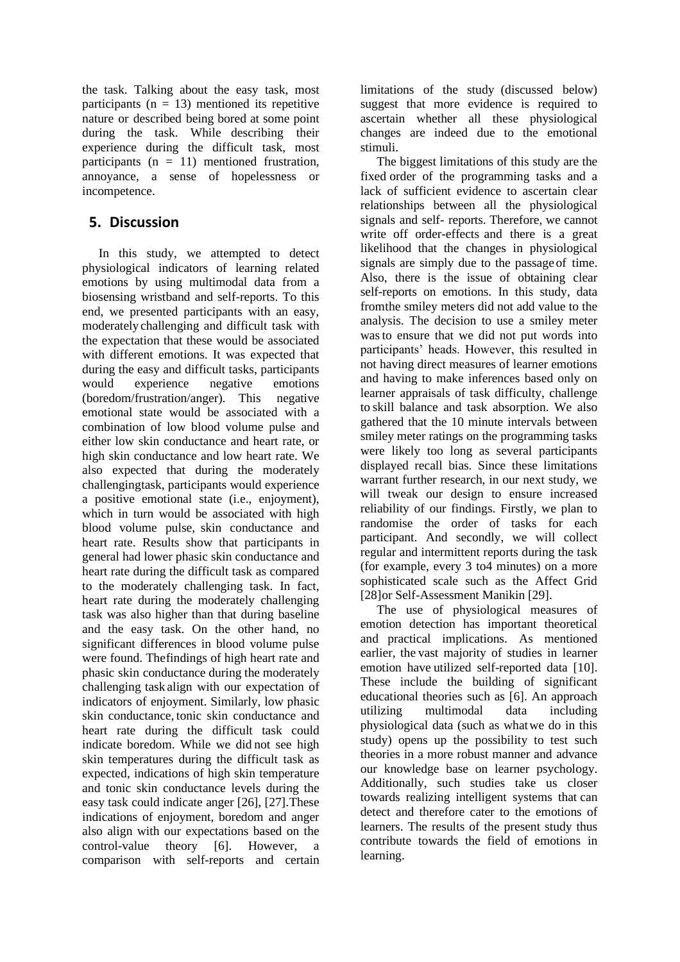the task. Talking about the easy task, most participants ( $n = 13$ ) mentioned its repetitive nature or described being bored at some point during the task. While describing their experience during the difficult task, most participants ( $n = 11$ ) mentioned frustration, annoyance, a sense of hopelessness or incompetence.

#### **5. Discussion**

In this study, we attempted to detect physiological indicators of learning related emotions by using multimodal data from a biosensing wristband and self-reports. To this end, we presented participants with an easy, moderately challenging and difficult task with the expectation that these would be associated with different emotions. It was expected that during the easy and difficult tasks, participants would experience negative emotions (boredom/frustration/anger). This negative emotional state would be associated with a combination of low blood volume pulse and either low skin conductance and heart rate, or high skin conductance and low heart rate. We also expected that during the moderately challengingtask, participants would experience a positive emotional state (i.e., enjoyment), which in turn would be associated with high blood volume pulse, skin conductance and heart rate. Results show that participants in general had lower phasic skin conductance and heart rate during the difficult task as compared to the moderately challenging task. In fact, heart rate during the moderately challenging task was also higher than that during baseline and the easy task. On the other hand, no significant differences in blood volume pulse were found. Thefindings of high heart rate and phasic skin conductance during the moderately challenging task align with our expectation of indicators of enjoyment. Similarly, low phasic skin conductance, tonic skin conductance and heart rate during the difficult task could indicate boredom. While we did not see high skin temperatures during the difficult task as expected, indications of high skin temperature and tonic skin conductance levels during the easy task could indicate anger [26], [27].These indications of enjoyment, boredom and anger also align with our expectations based on the control-value theory [6]. However, a comparison with self-reports and certain limitations of the study (discussed below) suggest that more evidence is required to ascertain whether all these physiological changes are indeed due to the emotional stimuli.

The biggest limitations of this study are the fixed order of the programming tasks and a lack of sufficient evidence to ascertain clear relationships between all the physiological signals and self- reports. Therefore, we cannot write off order-effects and there is a great likelihood that the changes in physiological signals are simply due to the passage of time. Also, there is the issue of obtaining clear self-reports on emotions. In this study, data fromthe smiley meters did not add value to the analysis. The decision to use a smiley meter wasto ensure that we did not put words into participants' heads. However, this resulted in not having direct measures of learner emotions and having to make inferences based only on learner appraisals of task difficulty, challenge to skill balance and task absorption. We also gathered that the 10 minute intervals between smiley meter ratings on the programming tasks were likely too long as several participants displayed recall bias. Since these limitations warrant further research, in our next study, we will tweak our design to ensure increased reliability of our findings. Firstly, we plan to randomise the order of tasks for each participant. And secondly, we will collect regular and intermittent reports during the task (for example, every 3 to4 minutes) on a more sophisticated scale such as the Affect Grid [28] or Self-Assessment Manikin [29].

The use of physiological measures of emotion detection has important theoretical and practical implications. As mentioned earlier, the vast majority of studies in learner emotion have utilized self-reported data [10]. These include the building of significant educational theories such as [6]. An approach utilizing multimodal data including physiological data (such as whatwe do in this study) opens up the possibility to test such theories in a more robust manner and advance our knowledge base on learner psychology. Additionally, such studies take us closer towards realizing intelligent systems that can detect and therefore cater to the emotions of learners. The results of the present study thus contribute towards the field of emotions in learning.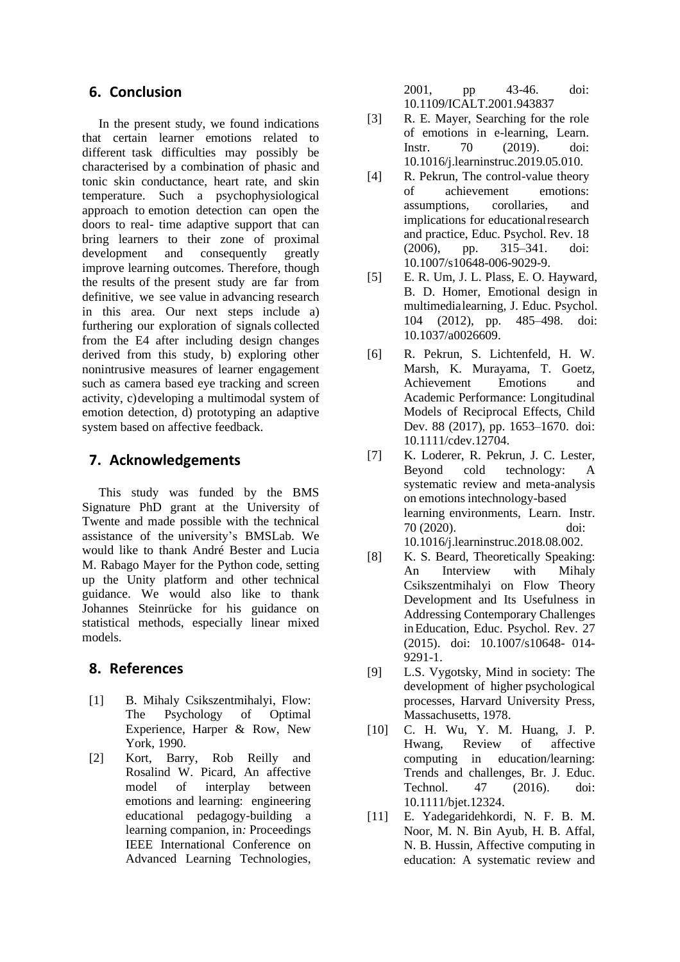#### **6. Conclusion**

In the present study, we found indications that certain learner emotions related to different task difficulties may possibly be characterised by a combination of phasic and tonic skin conductance, heart rate, and skin temperature. Such a psychophysiological approach to emotion detection can open the doors to real- time adaptive support that can bring learners to their zone of proximal development and consequently greatly improve learning outcomes. Therefore, though the results of the present study are far from definitive, we see value in advancing research in this area. Our next steps include a) furthering our exploration of signals collected from the E4 after including design changes derived from this study, b) exploring other nonintrusive measures of learner engagement such as camera based eye tracking and screen activity, c)developing a multimodal system of emotion detection, d) prototyping an adaptive system based on affective feedback.

#### **7. Acknowledgements**

This study was funded by the BMS Signature PhD grant at the University of Twente and made possible with the technical assistance of the university's BMSLab. We would like to thank André Bester and Lucia M. Rabago Mayer for the Python code, setting up the Unity platform and other technical guidance. We would also like to thank Johannes Steinrücke for his guidance on statistical methods, especially linear mixed models.

#### **8. References**

- [1] B. Mihaly Csikszentmihalyi, Flow: The Psychology of Optimal Experience, Harper & Row, New York, 1990.
- [2] Kort, Barry, Rob Reilly and Rosalind W. Picard, An affective model of interplay between emotions and learning: engineering educational pedagogy-building a learning companion, in*:* Proceedings IEEE International Conference on Advanced Learning Technologies,

2001, pp 43-46. doi: 10.1109/ICALT.2001.943837

- [3] R. E. Mayer, Searching for the role of emotions in e-learning, Learn. Instr. 70 (2019). doi: 10.1016/j.learninstruc.2019.05.010.
- [4] R. Pekrun, The control-value theory of achievement emotions: assumptions, corollaries, and implications for educationalresearch and practice, Educ. Psychol. Rev. 18 (2006), pp. 315–341. doi: 10.1007/s10648-006-9029-9.
- [5] E. R. Um, J. L. Plass, E. O. Hayward, B. D. Homer, Emotional design in multimedialearning, J. Educ. Psychol. 104 (2012), pp. 485–498. doi: 10.1037/a0026609.
- [6] R. Pekrun, S. Lichtenfeld, H. W. Marsh, K. Murayama, T. Goetz, Achievement Emotions and Academic Performance: Longitudinal Models of Reciprocal Effects, Child Dev. 88 (2017), pp. 1653–1670. doi: 10.1111/cdev.12704.
- [7] K. Loderer, R. Pekrun, J. C. Lester, Beyond cold technology: A systematic review and meta-analysis on emotions intechnology-based learning environments, Learn. Instr. 70 (2020). doi: 10.1016/j.learninstruc.2018.08.002.
- [8] K. S. Beard, Theoretically Speaking: An Interview with Mihaly Csikszentmihalyi on Flow Theory Development and Its Usefulness in Addressing Contemporary Challenges inEducation, Educ. Psychol. Rev. 27 (2015). doi: 10.1007/s10648- 014- 9291-1.
- [9] L.S. Vygotsky, Mind in society: The development of higher psychological processes, Harvard University Press, Massachusetts, 1978.
- [10] C. H. Wu, Y. M. Huang, J. P. Hwang, Review of affective computing in education/learning: Trends and challenges, Br. J. Educ. Technol. 47 (2016). doi: 10.1111/bjet.12324.
- [11] E. Yadegaridehkordi, N. F. B. M. Noor, M. N. Bin Ayub, H. B. Affal, N. B. Hussin, Affective computing in education: A systematic review and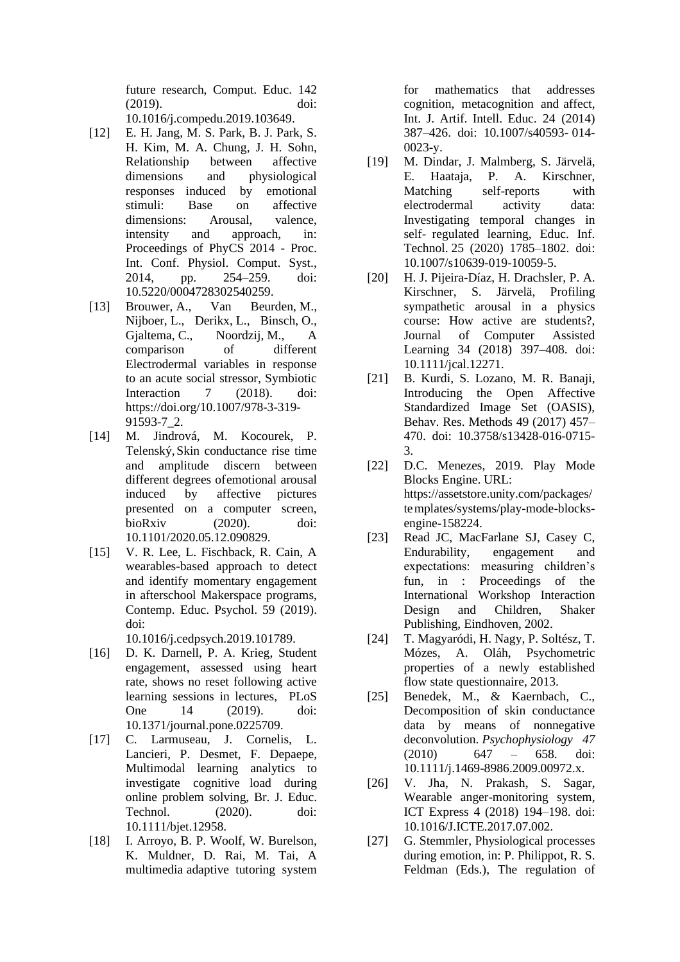future research, Comput. Educ. 142 (2019). doi: 10.1016/j.compedu.2019.103649.

- [12] E. H. Jang, M. S. Park, B. J. Park, S. H. Kim, M. A. Chung, J. H. Sohn, Relationship between affective dimensions and physiological responses induced by emotional stimuli: Base on affective dimensions: Arousal, valence, intensity and approach, in: Proceedings of PhyCS 2014 - Proc. Int. Conf. Physiol. Comput. Syst., 2014, pp. 254–259. doi: 10.5220/0004728302540259.
- [13] Brouwer, A., Van Beurden, M., Nijboer, L., Derikx, L., Binsch, O., Gjaltema, C., Noordzij, M., A comparison of different Electrodermal variables in response to an acute social stressor, Symbiotic Interaction 7 (2018). doi: https://doi.org/10.1007/978-3-319- 91593-7\_2.
- [14] M. Jindrová, M. Kocourek, P. Telenský,Skin conductance rise time and amplitude discern between different degrees ofemotional arousal induced by affective pictures presented on a computer screen, bioRxiv (2020). doi: 10.1101/2020.05.12.090829.
- [15] V. R. Lee, L. Fischback, R. Cain, A wearables-based approach to detect and identify momentary engagement in afterschool Makerspace programs, Contemp. Educ. Psychol. 59 (2019). doi:

10.1016/j.cedpsych.2019.101789.

- [16] D. K. Darnell, P. A. Krieg, Student engagement, assessed using heart rate, shows no reset following active learning sessions in lectures, PLoS One 14 (2019). doi: 10.1371/journal.pone.0225709.
- [17] C. Larmuseau, J. Cornelis, L. Lancieri, P. Desmet, F. Depaepe, Multimodal learning analytics to investigate cognitive load during online problem solving, Br. J. Educ. Technol. (2020). doi: 10.1111/bjet.12958.
- [18] I. Arroyo, B. P. Woolf, W. Burelson, K. Muldner, D. Rai, M. Tai, A multimedia adaptive tutoring system

for mathematics that addresses cognition, metacognition and affect, Int. J. Artif. Intell. Educ. 24 (2014) 387–426. doi: 10.1007/s40593- 014- 0023-y.

- [19] M. Dindar, J. Malmberg, S. Järvelä, E. Haataja, P. A. Kirschner, Matching self-reports with electrodermal activity data: Investigating temporal changes in self- regulated learning, Educ. Inf. Technol. 25 (2020) 1785–1802. doi: 10.1007/s10639-019-10059-5.
- [20] H. J. Pijeira-Díaz, H. Drachsler, P. A. Kirschner, S. Järvelä, Profiling sympathetic arousal in a physics course: How active are students?, Journal of Computer Assisted Learning 34 (2018) 397–408. doi: 10.1111/jcal.12271.
- [21] B. Kurdi, S. Lozano, M. R. Banaji, Introducing the Open Affective Standardized Image Set (OASIS), Behav. Res. Methods 49 (2017) 457– 470. doi: 10.3758/s13428-016-0715- 3.
- [22] D.C. Menezes, 2019. Play Mode Blocks Engine. URL: https://assetstore.unity.com/packages/ templates/systems/play-mode-blocksengine-158224.
- [23] Read JC, MacFarlane SJ, Casey C, Endurability, engagement and expectations: measuring children's fun, in : Proceedings of the International Workshop Interaction Design and Children, Shaker Publishing, Eindhoven, 2002.
- [24] T. Magyaródi, H. Nagy, P. Soltész, T. Mózes, A. Oláh, Psychometric properties of a newly established flow state questionnaire, 2013.
- [25] Benedek, M., & Kaernbach, C., Decomposition of skin conductance data by means of nonnegative deconvolution. *Psychophysiology 47* (2010) 647 – 658. doi: 10.1111/j.1469-8986.2009.00972.x.
- [26] V. Jha, N. Prakash, S. Sagar, Wearable anger-monitoring system, ICT Express 4 (2018) 194–198. doi: 10.1016/J.ICTE.2017.07.002.
- [27] G. Stemmler, Physiological processes during emotion, in: P. Philippot, R. S. Feldman (Eds.), The regulation of